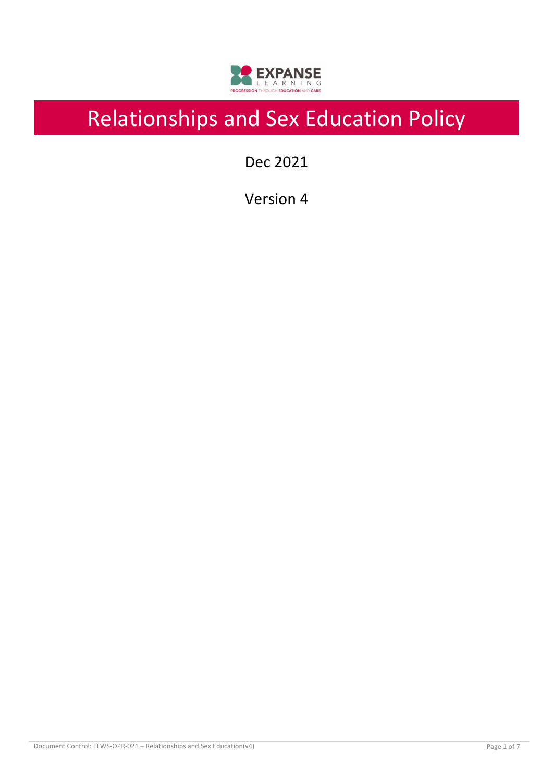

# Relationships and Sex Education Policy

Dec 2021

Version 4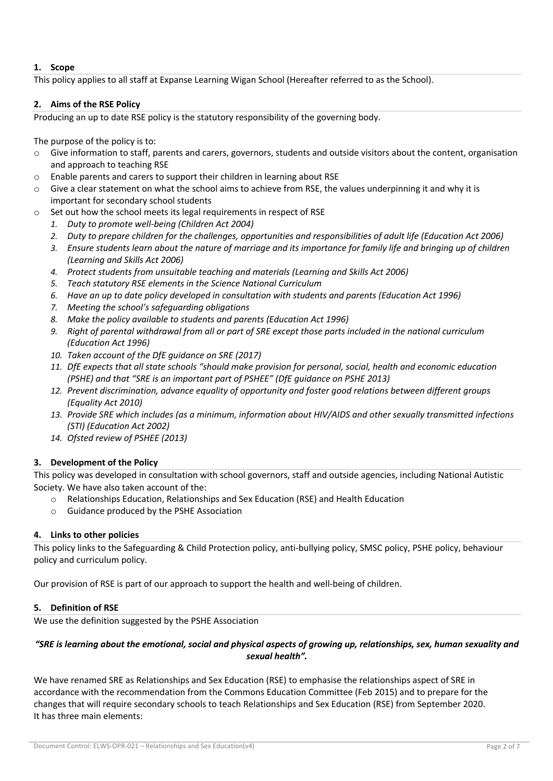# **1. Scope**

This policy applies to all staff at Expanse Learning Wigan School (Hereafter referred to as the School).

## **2. Aims of the RSE Policy**

Producing an up to date RSE policy is the statutory responsibility of the governing body.

The purpose of the policy is to:

- $\circ$  Give information to staff, parents and carers, governors, students and outside visitors about the content, organisation and approach to teaching RSE
- o Enable parents and carers to support their children in learning about RSE
- o Give a clear statement on what the school aims to achieve from RSE, the values underpinning it and why it is important for secondary school students
- Set out how the school meets its legal requirements in respect of RSE
	- *1. Duty to promote well-being (Children Act 2004)*
	- *2. Duty to prepare children for the challenges, opportunities and responsibilities of adult life (Education Act 2006)*
	- *3. Ensure students learn about the nature of marriage and its importance for family life and bringing up of children (Learning and Skills Act 2006)*
	- *4. Protect students from unsuitable teaching and materials (Learning and Skills Act 2006)*
	- *5. Teach statutory RSE elements in the Science National Curriculum*
	- *6. Have an up to date policy developed in consultation with students and parents (Education Act 1996)*
	- *7. Meeting the school's safeguarding obligations*
	- *8. Make the policy available to students and parents (Education Act 1996)*
	- *9. Right of parental withdrawal from all or part of SRE except those parts included in the national curriculum (Education Act 1996)*
	- *10. Taken account of the DfE guidance on SRE (2017)*
	- *11. DfE expects that all state schools "should make provision for personal, social, health and economic education (PSHE) and that "SRE is an important part of PSHEE" (DfE guidance on PSHE 2013)*
	- *12. Prevent discrimination, advance equality of opportunity and foster good relations between different groups (Equality Act 2010)*
	- *13. Provide SRE which includes (as a minimum, information about HIV/AIDS and other sexually transmitted infections (STI) (Education Act 2002)*
	- *14. Ofsted review of PSHEE (2013)*

# **3. Development of the Policy**

This policy was developed in consultation with school governors, staff and outside agencies, including National Autistic Society. We have also taken account of the:

- o Relationships Education, Relationships and Sex Education (RSE) and Health Education
- o Guidance produced by the PSHE Association

## **4. Links to other policies**

This policy links to the Safeguarding & Child Protection policy, anti-bullying policy, SMSC policy, PSHE policy, behaviour policy and curriculum policy.

Our provision of RSE is part of our approach to support the health and well-being of children.

## **5. Definition of RSE**

We use the definition suggested by the PSHE Association

# *"SRE is learning about the emotional, social and physical aspects of growing up, relationships, sex, human sexuality and sexual health".*

We have renamed SRE as Relationships and Sex Education (RSE) to emphasise the relationships aspect of SRE in accordance with the recommendation from the Commons Education Committee (Feb 2015) and to prepare for the changes that will require secondary schools to teach Relationships and Sex Education (RSE) from September 2020. It has three main elements: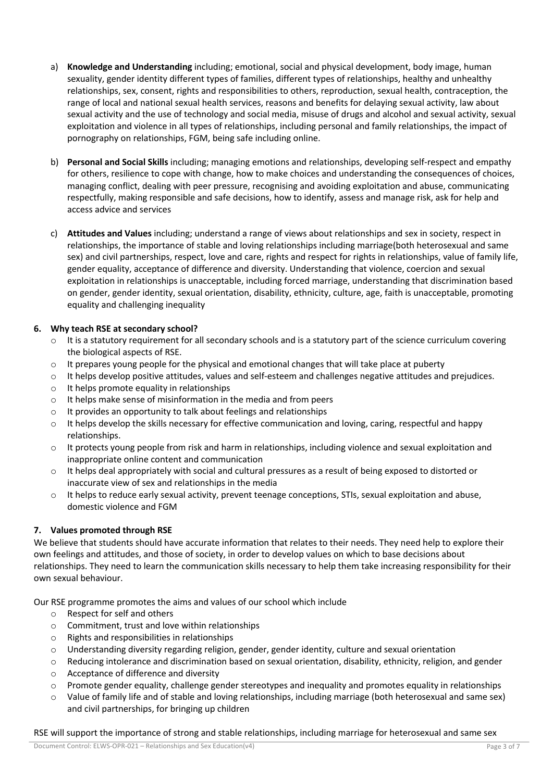- a) **Knowledge and Understanding** including; emotional, social and physical development, body image, human sexuality, gender identity different types of families, different types of relationships, healthy and unhealthy relationships, sex, consent, rights and responsibilities to others, reproduction, sexual health, contraception, the range of local and national sexual health services, reasons and benefits for delaying sexual activity, law about sexual activity and the use of technology and social media, misuse of drugs and alcohol and sexual activity, sexual exploitation and violence in all types of relationships, including personal and family relationships, the impact of pornography on relationships, FGM, being safe including online.
- b) **Personal and Social Skills** including; managing emotions and relationships, developing self-respect and empathy for others, resilience to cope with change, how to make choices and understanding the consequences of choices, managing conflict, dealing with peer pressure, recognising and avoiding exploitation and abuse, communicating respectfully, making responsible and safe decisions, how to identify, assess and manage risk, ask for help and access advice and services
- c) **Attitudes and Values** including; understand a range of views about relationships and sex in society, respect in relationships, the importance of stable and loving relationships including marriage(both heterosexual and same sex) and civil partnerships, respect, love and care, rights and respect for rights in relationships, value of family life, gender equality, acceptance of difference and diversity. Understanding that violence, coercion and sexual exploitation in relationships is unacceptable, including forced marriage, understanding that discrimination based on gender, gender identity, sexual orientation, disability, ethnicity, culture, age, faith is unacceptable, promoting equality and challenging inequality

# **6. Why teach RSE at secondary school?**

- $\circ$  It is a statutory requirement for all secondary schools and is a statutory part of the science curriculum covering the biological aspects of RSE.
- $\circ$  It prepares young people for the physical and emotional changes that will take place at puberty
- o It helps develop positive attitudes, values and self-esteem and challenges negative attitudes and prejudices.
- $\circ$  It helps promote equality in relationships
- o It helps make sense of misinformation in the media and from peers
- o It provides an opportunity to talk about feelings and relationships
- $\circ$  It helps develop the skills necessary for effective communication and loving, caring, respectful and happy relationships.
- o It protects young people from risk and harm in relationships, including violence and sexual exploitation and inappropriate online content and communication
- o It helps deal appropriately with social and cultural pressures as a result of being exposed to distorted or inaccurate view of sex and relationships in the media
- o It helps to reduce early sexual activity, prevent teenage conceptions, STIs, sexual exploitation and abuse, domestic violence and FGM

# **7. Values promoted through RSE**

We believe that students should have accurate information that relates to their needs. They need help to explore their own feelings and attitudes, and those of society, in order to develop values on which to base decisions about relationships. They need to learn the communication skills necessary to help them take increasing responsibility for their own sexual behaviour.

Our RSE programme promotes the aims and values of our school which include

- o Respect for self and others
- o Commitment, trust and love within relationships
- o Rights and responsibilities in relationships
- o Understanding diversity regarding religion, gender, gender identity, culture and sexual orientation
- o Reducing intolerance and discrimination based on sexual orientation, disability, ethnicity, religion, and gender
- o Acceptance of difference and diversity
- $\circ$  Promote gender equality, challenge gender stereotypes and inequality and promotes equality in relationships
- $\circ$  Value of family life and of stable and loving relationships, including marriage (both heterosexual and same sex) and civil partnerships, for bringing up children

#### RSE will support the importance of strong and stable relationships, including marriage for heterosexual and same sex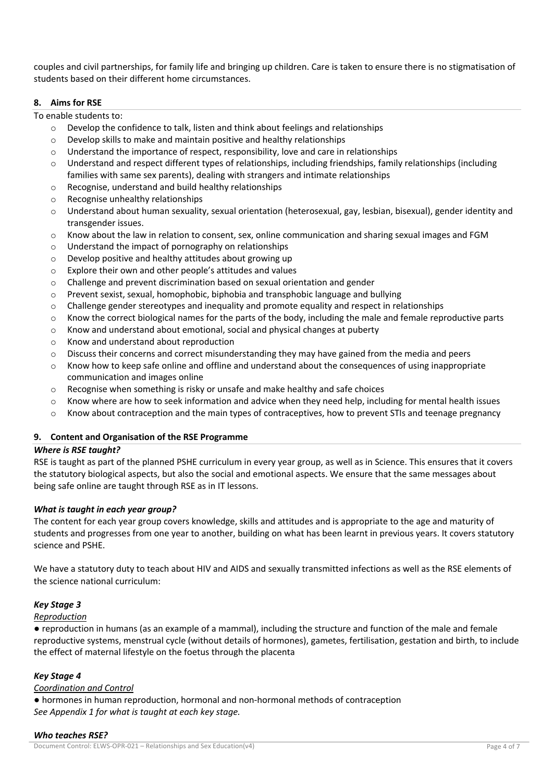couples and civil partnerships, for family life and bringing up children. Care is taken to ensure there is no stigmatisation of students based on their different home circumstances.

#### **8. Aims for RSE**

To enable students to:

- $\circ$  Develop the confidence to talk, listen and think about feelings and relationships
- o Develop skills to make and maintain positive and healthy relationships
- $\circ$  Understand the importance of respect, responsibility, love and care in relationships
- $\circ$  Understand and respect different types of relationships, including friendships, family relationships (including families with same sex parents), dealing with strangers and intimate relationships
- o Recognise, understand and build healthy relationships
- o Recognise unhealthy relationships
- o Understand about human sexuality, sexual orientation (heterosexual, gay, lesbian, bisexual), gender identity and transgender issues.
- $\circ$  Know about the law in relation to consent, sex, online communication and sharing sexual images and FGM
- o Understand the impact of pornography on relationships
- o Develop positive and healthy attitudes about growing up
- o Explore their own and other people's attitudes and values
- o Challenge and prevent discrimination based on sexual orientation and gender
- $\circ$  Prevent sexist, sexual, homophobic, biphobia and transphobic language and bullying
- $\circ$  Challenge gender stereotypes and inequality and promote equality and respect in relationships
- o Know the correct biological names for the parts of the body, including the male and female reproductive parts
- o Know and understand about emotional, social and physical changes at puberty
- o Know and understand about reproduction
- $\circ$  Discuss their concerns and correct misunderstanding they may have gained from the media and peers
- o Know how to keep safe online and offline and understand about the consequences of using inappropriate communication and images online
- $\circ$  Recognise when something is risky or unsafe and make healthy and safe choices
- $\circ$  Know where are how to seek information and advice when they need help, including for mental health issues
- $\circ$  Know about contraception and the main types of contraceptives, how to prevent STIs and teenage pregnancy

## **9. Content and Organisation of the RSE Programme**

## *Where is RSE taught?*

RSE is taught as part of the planned PSHE curriculum in every year group, as well as in Science. This ensures that it covers the statutory biological aspects, but also the social and emotional aspects. We ensure that the same messages about being safe online are taught through RSE as in IT lessons.

## *What is taught in each year group?*

The content for each year group covers knowledge, skills and attitudes and is appropriate to the age and maturity of students and progresses from one year to another, building on what has been learnt in previous years. It covers statutory science and PSHE.

We have a statutory duty to teach about HIV and AIDS and sexually transmitted infections as well as the RSE elements of the science national curriculum:

# *Key Stage 3*

## *Reproduction*

● reproduction in humans (as an example of a mammal), including the structure and function of the male and female reproductive systems, menstrual cycle (without details of hormones), gametes, fertilisation, gestation and birth, to include the effect of maternal lifestyle on the foetus through the placenta

## *Key Stage 4*

## *Coordination and Control*

● hormones in human reproduction, hormonal and non-hormonal methods of contraception *See Appendix 1 for what is taught at each key stage.* 

#### *Who teaches RSE?*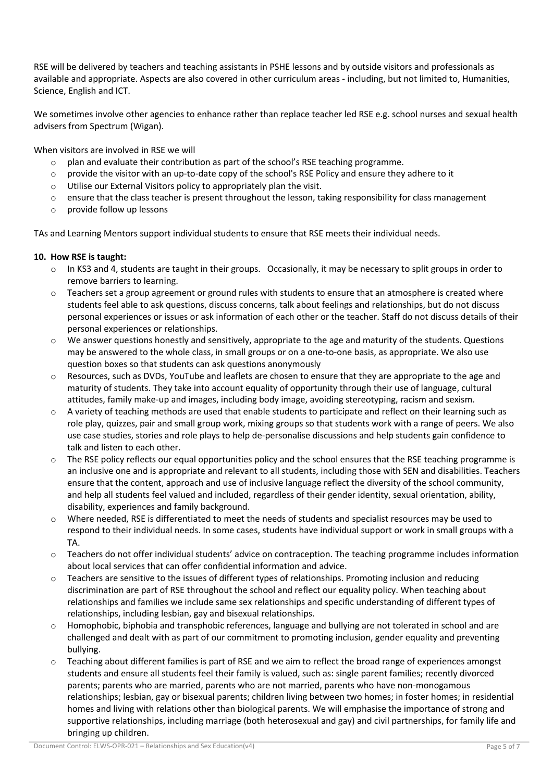RSE will be delivered by teachers and teaching assistants in PSHE lessons and by outside visitors and professionals as available and appropriate. Aspects are also covered in other curriculum areas - including, but not limited to, Humanities, Science, English and ICT.

We sometimes involve other agencies to enhance rather than replace teacher led RSE e.g. school nurses and sexual health advisers from Spectrum (Wigan).

When visitors are involved in RSE we will

- $\circ$  plan and evaluate their contribution as part of the school's RSE teaching programme.
- $\circ$  provide the visitor with an up-to-date copy of the school's RSE Policy and ensure they adhere to it
- o Utilise our External Visitors policy to appropriately plan the visit.
- $\circ$  ensure that the class teacher is present throughout the lesson, taking responsibility for class management
- o provide follow up lessons

TAs and Learning Mentors support individual students to ensure that RSE meets their individual needs.

# **10. How RSE is taught:**

- o In KS3 and 4, students are taught in their groups. Occasionally, it may be necessary to split groups in order to remove barriers to learning.
- $\circ$  Teachers set a group agreement or ground rules with students to ensure that an atmosphere is created where students feel able to ask questions, discuss concerns, talk about feelings and relationships, but do not discuss personal experiences or issues or ask information of each other or the teacher. Staff do not discuss details of their personal experiences or relationships.
- $\circ$  We answer questions honestly and sensitively, appropriate to the age and maturity of the students. Questions may be answered to the whole class, in small groups or on a one-to-one basis, as appropriate. We also use question boxes so that students can ask questions anonymously
- o Resources, such as DVDs, YouTube and leaflets are chosen to ensure that they are appropriate to the age and maturity of students. They take into account equality of opportunity through their use of language, cultural attitudes, family make-up and images, including body image, avoiding stereotyping, racism and sexism.
- $\circ$  A variety of teaching methods are used that enable students to participate and reflect on their learning such as role play, quizzes, pair and small group work, mixing groups so that students work with a range of peers. We also use case studies, stories and role plays to help de-personalise discussions and help students gain confidence to talk and listen to each other.
- $\circ$  The RSE policy reflects our equal opportunities policy and the school ensures that the RSE teaching programme is an inclusive one and is appropriate and relevant to all students, including those with SEN and disabilities. Teachers ensure that the content, approach and use of inclusive language reflect the diversity of the school community, and help all students feel valued and included, regardless of their gender identity, sexual orientation, ability, disability, experiences and family background.
- Where needed, RSE is differentiated to meet the needs of students and specialist resources may be used to respond to their individual needs. In some cases, students have individual support or work in small groups with a TA.
- o Teachers do not offer individual students' advice on contraception. The teaching programme includes information about local services that can offer confidential information and advice.
- $\circ$  Teachers are sensitive to the issues of different types of relationships. Promoting inclusion and reducing discrimination are part of RSE throughout the school and reflect our equality policy. When teaching about relationships and families we include same sex relationships and specific understanding of different types of relationships, including lesbian, gay and bisexual relationships.
- $\circ$  Homophobic, biphobia and transphobic references, language and bullying are not tolerated in school and are challenged and dealt with as part of our commitment to promoting inclusion, gender equality and preventing bullying.
- Teaching about different families is part of RSE and we aim to reflect the broad range of experiences amongst students and ensure all students feel their family is valued, such as: single parent families; recently divorced parents; parents who are married, parents who are not married, parents who have non-monogamous relationships; lesbian, gay or bisexual parents; children living between two homes; in foster homes; in residential homes and living with relations other than biological parents. We will emphasise the importance of strong and supportive relationships, including marriage (both heterosexual and gay) and civil partnerships, for family life and bringing up children.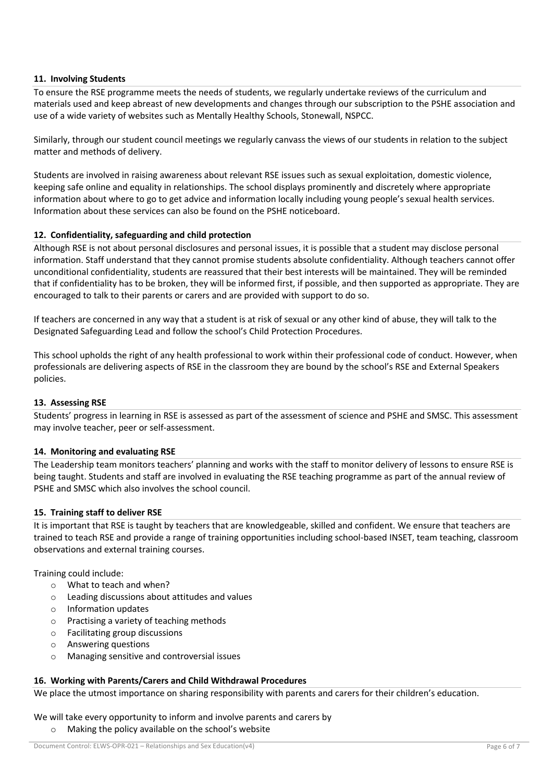## **11. Involving Students**

To ensure the RSE programme meets the needs of students, we regularly undertake reviews of the curriculum and materials used and keep abreast of new developments and changes through our subscription to the PSHE association and use of a wide variety of websites such as Mentally Healthy Schools, Stonewall, NSPCC.

Similarly, through our student council meetings we regularly canvass the views of our students in relation to the subject matter and methods of delivery.

Students are involved in raising awareness about relevant RSE issues such as sexual exploitation, domestic violence, keeping safe online and equality in relationships. The school displays prominently and discretely where appropriate information about where to go to get advice and information locally including young people's sexual health services. Information about these services can also be found on the PSHE noticeboard.

#### **12. Confidentiality, safeguarding and child protection**

Although RSE is not about personal disclosures and personal issues, it is possible that a student may disclose personal information. Staff understand that they cannot promise students absolute confidentiality. Although teachers cannot offer unconditional confidentiality, students are reassured that their best interests will be maintained. They will be reminded that if confidentiality has to be broken, they will be informed first, if possible, and then supported as appropriate. They are encouraged to talk to their parents or carers and are provided with support to do so.

If teachers are concerned in any way that a student is at risk of sexual or any other kind of abuse, they will talk to the Designated Safeguarding Lead and follow the school's Child Protection Procedures.

This school upholds the right of any health professional to work within their professional code of conduct. However, when professionals are delivering aspects of RSE in the classroom they are bound by the school's RSE and External Speakers policies.

#### **13. Assessing RSE**

Students' progress in learning in RSE is assessed as part of the assessment of science and PSHE and SMSC. This assessment may involve teacher, peer or self-assessment.

#### **14. Monitoring and evaluating RSE**

The Leadership team monitors teachers' planning and works with the staff to monitor delivery of lessons to ensure RSE is being taught. Students and staff are involved in evaluating the RSE teaching programme as part of the annual review of PSHE and SMSC which also involves the school council.

#### **15. Training staff to deliver RSE**

It is important that RSE is taught by teachers that are knowledgeable, skilled and confident. We ensure that teachers are trained to teach RSE and provide a range of training opportunities including school-based INSET, team teaching, classroom observations and external training courses.

Training could include:

- o What to teach and when?
- o Leading discussions about attitudes and values
- o Information updates
- o Practising a variety of teaching methods
- o Facilitating group discussions
- o Answering questions
- o Managing sensitive and controversial issues

## **16. Working with Parents/Carers and Child Withdrawal Procedures**

We place the utmost importance on sharing responsibility with parents and carers for their children's education.

#### We will take every opportunity to inform and involve parents and carers by o Making the policy available on the school's website